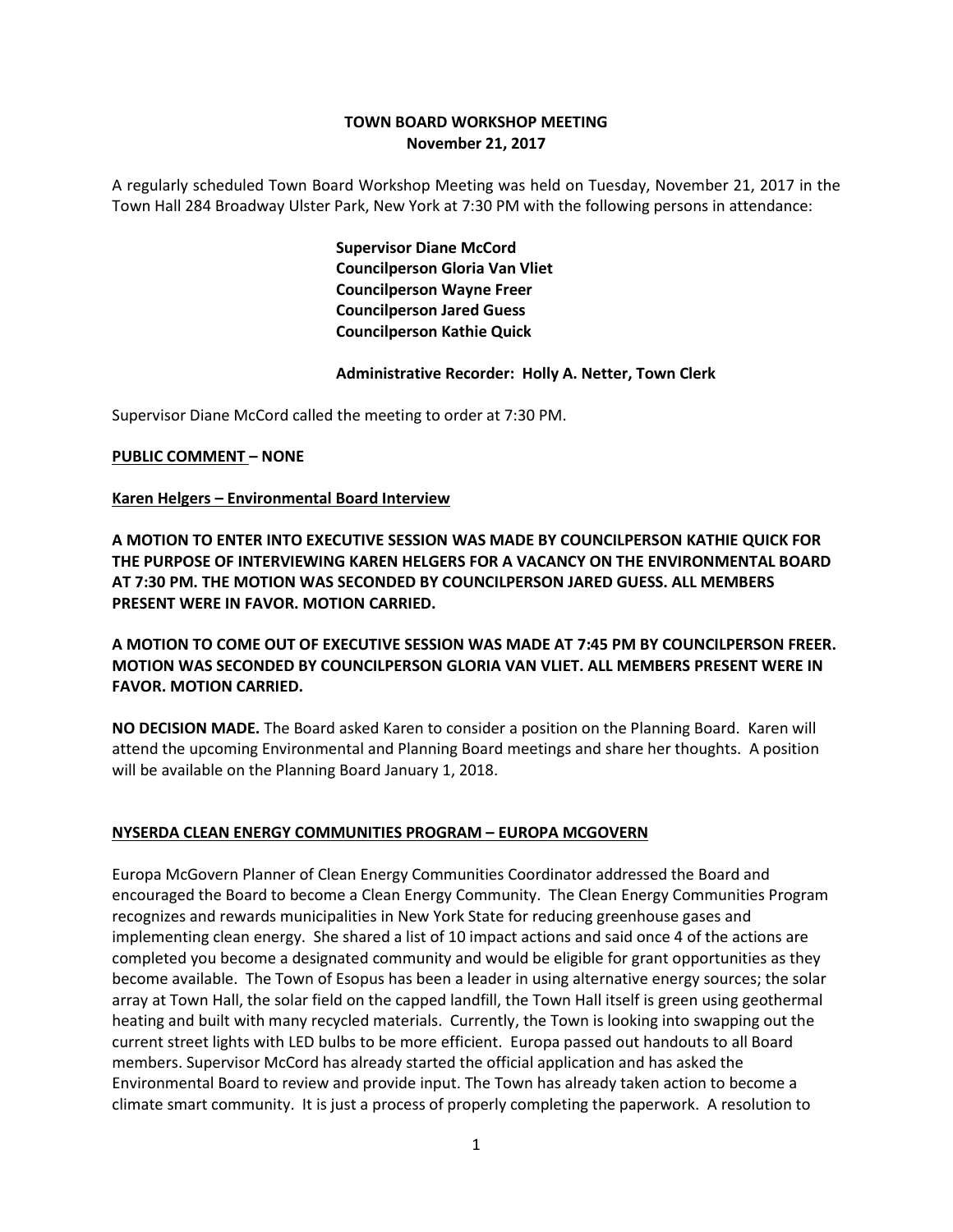## **TOWN BOARD WORKSHOP MEETING November 21, 2017**

A regularly scheduled Town Board Workshop Meeting was held on Tuesday, November 21, 2017 in the Town Hall 284 Broadway Ulster Park, New York at 7:30 PM with the following persons in attendance:

> **Supervisor Diane McCord Councilperson Gloria Van Vliet Councilperson Wayne Freer Councilperson Jared Guess Councilperson Kathie Quick**

### **Administrative Recorder: Holly A. Netter, Town Clerk**

Supervisor Diane McCord called the meeting to order at 7:30 PM.

### **PUBLIC COMMENT – NONE**

### **Karen Helgers – Environmental Board Interview**

**A MOTION TO ENTER INTO EXECUTIVE SESSION WAS MADE BY COUNCILPERSON KATHIE QUICK FOR THE PURPOSE OF INTERVIEWING KAREN HELGERS FOR A VACANCY ON THE ENVIRONMENTAL BOARD AT 7:30 PM. THE MOTION WAS SECONDED BY COUNCILPERSON JARED GUESS. ALL MEMBERS PRESENT WERE IN FAVOR. MOTION CARRIED.**

**A MOTION TO COME OUT OF EXECUTIVE SESSION WAS MADE AT 7:45 PM BY COUNCILPERSON FREER. MOTION WAS SECONDED BY COUNCILPERSON GLORIA VAN VLIET. ALL MEMBERS PRESENT WERE IN FAVOR. MOTION CARRIED.**

**NO DECISION MADE.** The Board asked Karen to consider a position on the Planning Board. Karen will attend the upcoming Environmental and Planning Board meetings and share her thoughts. A position will be available on the Planning Board January 1, 2018.

#### **NYSERDA CLEAN ENERGY COMMUNITIES PROGRAM – EUROPA MCGOVERN**

Europa McGovern Planner of Clean Energy Communities Coordinator addressed the Board and encouraged the Board to become a Clean Energy Community. The Clean Energy Communities Program recognizes and rewards municipalities in New York State for reducing greenhouse gases and implementing clean energy. She shared a list of 10 impact actions and said once 4 of the actions are completed you become a designated community and would be eligible for grant opportunities as they become available. The Town of Esopus has been a leader in using alternative energy sources; the solar array at Town Hall, the solar field on the capped landfill, the Town Hall itself is green using geothermal heating and built with many recycled materials. Currently, the Town is looking into swapping out the current street lights with LED bulbs to be more efficient. Europa passed out handouts to all Board members. Supervisor McCord has already started the official application and has asked the Environmental Board to review and provide input. The Town has already taken action to become a climate smart community. It is just a process of properly completing the paperwork. A resolution to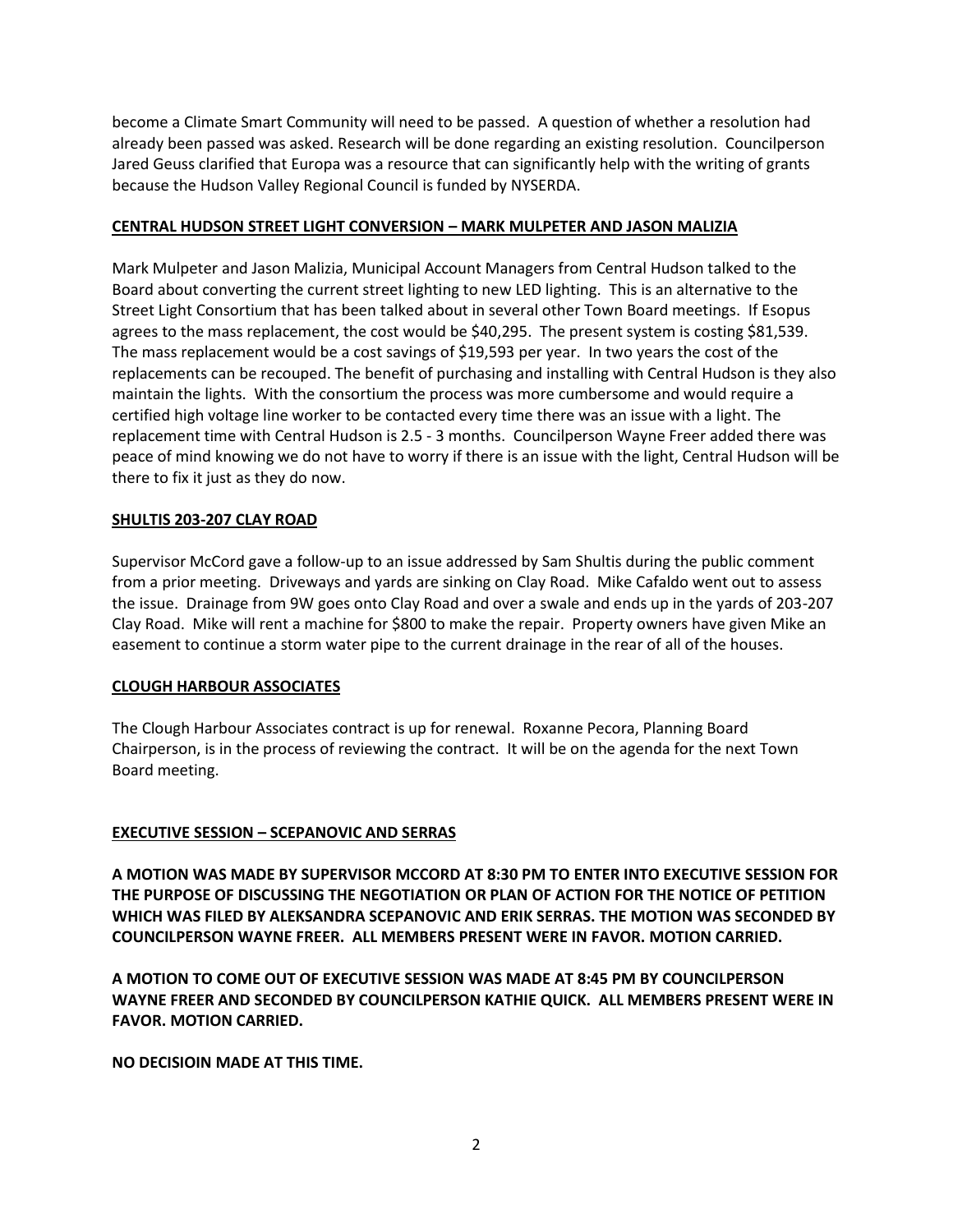become a Climate Smart Community will need to be passed. A question of whether a resolution had already been passed was asked. Research will be done regarding an existing resolution. Councilperson Jared Geuss clarified that Europa was a resource that can significantly help with the writing of grants because the Hudson Valley Regional Council is funded by NYSERDA.

### **CENTRAL HUDSON STREET LIGHT CONVERSION – MARK MULPETER AND JASON MALIZIA**

Mark Mulpeter and Jason Malizia, Municipal Account Managers from Central Hudson talked to the Board about converting the current street lighting to new LED lighting. This is an alternative to the Street Light Consortium that has been talked about in several other Town Board meetings. If Esopus agrees to the mass replacement, the cost would be \$40,295. The present system is costing \$81,539. The mass replacement would be a cost savings of \$19,593 per year. In two years the cost of the replacements can be recouped. The benefit of purchasing and installing with Central Hudson is they also maintain the lights. With the consortium the process was more cumbersome and would require a certified high voltage line worker to be contacted every time there was an issue with a light. The replacement time with Central Hudson is 2.5 - 3 months. Councilperson Wayne Freer added there was peace of mind knowing we do not have to worry if there is an issue with the light, Central Hudson will be there to fix it just as they do now.

## **SHULTIS 203-207 CLAY ROAD**

Supervisor McCord gave a follow-up to an issue addressed by Sam Shultis during the public comment from a prior meeting. Driveways and yards are sinking on Clay Road. Mike Cafaldo went out to assess the issue. Drainage from 9W goes onto Clay Road and over a swale and ends up in the yards of 203-207 Clay Road. Mike will rent a machine for \$800 to make the repair. Property owners have given Mike an easement to continue a storm water pipe to the current drainage in the rear of all of the houses.

### **CLOUGH HARBOUR ASSOCIATES**

The Clough Harbour Associates contract is up for renewal. Roxanne Pecora, Planning Board Chairperson, is in the process of reviewing the contract. It will be on the agenda for the next Town Board meeting.

# **EXECUTIVE SESSION – SCEPANOVIC AND SERRAS**

**A MOTION WAS MADE BY SUPERVISOR MCCORD AT 8:30 PM TO ENTER INTO EXECUTIVE SESSION FOR THE PURPOSE OF DISCUSSING THE NEGOTIATION OR PLAN OF ACTION FOR THE NOTICE OF PETITION WHICH WAS FILED BY ALEKSANDRA SCEPANOVIC AND ERIK SERRAS. THE MOTION WAS SECONDED BY COUNCILPERSON WAYNE FREER. ALL MEMBERS PRESENT WERE IN FAVOR. MOTION CARRIED.**

**A MOTION TO COME OUT OF EXECUTIVE SESSION WAS MADE AT 8:45 PM BY COUNCILPERSON WAYNE FREER AND SECONDED BY COUNCILPERSON KATHIE QUICK. ALL MEMBERS PRESENT WERE IN FAVOR. MOTION CARRIED.** 

**NO DECISIOIN MADE AT THIS TIME.**